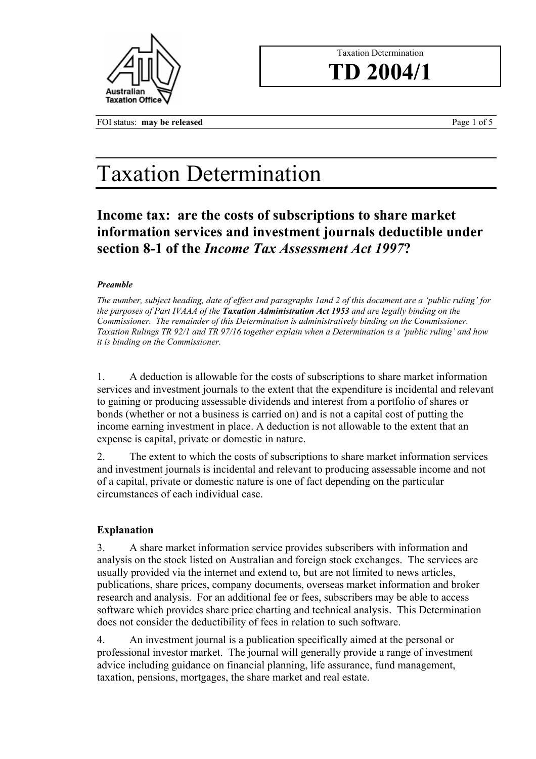

# Taxation Determination **TD 2004/1**

FOI status: **may be released Page 1 of 5** 

# Taxation Determination

**Income tax: are the costs of subscriptions to share market information services and investment journals deductible under section 8-1 of the** *Income Tax Assessment Act 1997***?**

## *Preamble*

*The number, subject heading, date of effect and paragraphs 1and 2 of this document are a 'public ruling' for the purposes of Part IVAAA of the Taxation Administration Act 1953 and are legally binding on the Commissioner. The remainder of this Determination is administratively binding on the Commissioner. Taxation Rulings TR 92/1 and TR 97/16 together explain when a Determination is a 'public ruling' and how it is binding on the Commissioner.* 

1. A deduction is allowable for the costs of subscriptions to share market information services and investment journals to the extent that the expenditure is incidental and relevant to gaining or producing assessable dividends and interest from a portfolio of shares or bonds (whether or not a business is carried on) and is not a capital cost of putting the income earning investment in place. A deduction is not allowable to the extent that an expense is capital, private or domestic in nature.

2. The extent to which the costs of subscriptions to share market information services and investment journals is incidental and relevant to producing assessable income and not of a capital, private or domestic nature is one of fact depending on the particular circumstances of each individual case.

# **Explanation**

3. A share market information service provides subscribers with information and analysis on the stock listed on Australian and foreign stock exchanges. The services are usually provided via the internet and extend to, but are not limited to news articles, publications, share prices, company documents, overseas market information and broker research and analysis. For an additional fee or fees, subscribers may be able to access software which provides share price charting and technical analysis. This Determination does not consider the deductibility of fees in relation to such software.

4. An investment journal is a publication specifically aimed at the personal or professional investor market. The journal will generally provide a range of investment advice including guidance on financial planning, life assurance, fund management, taxation, pensions, mortgages, the share market and real estate.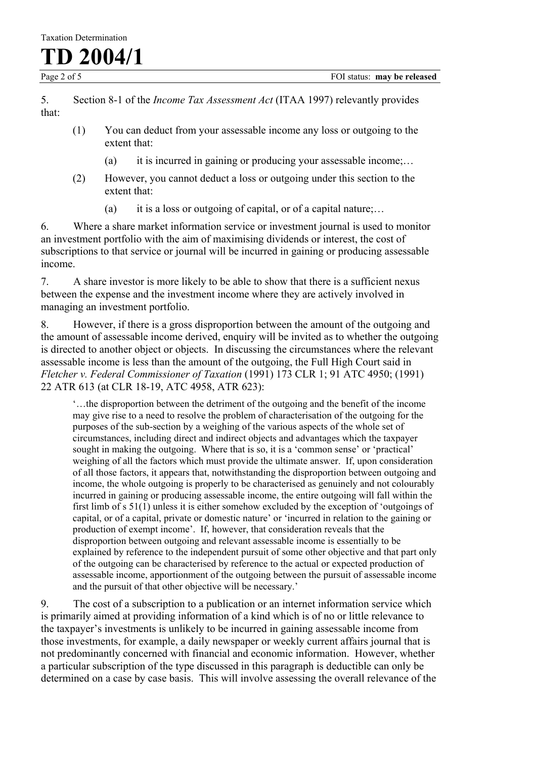**TD 2004/1**

5. Section 8-1 of the *Income Tax Assessment Act* (ITAA 1997) relevantly provides that:

- (1) You can deduct from your assessable income any loss or outgoing to the extent that:
	- (a) it is incurred in gaining or producing your assessable income;...
- (2) However, you cannot deduct a loss or outgoing under this section to the extent that:
	- (a) it is a loss or outgoing of capital, or of a capital nature;...

6. Where a share market information service or investment journal is used to monitor an investment portfolio with the aim of maximising dividends or interest, the cost of subscriptions to that service or journal will be incurred in gaining or producing assessable income.

7. A share investor is more likely to be able to show that there is a sufficient nexus between the expense and the investment income where they are actively involved in managing an investment portfolio.

8. However, if there is a gross disproportion between the amount of the outgoing and the amount of assessable income derived, enquiry will be invited as to whether the outgoing is directed to another object or objects. In discussing the circumstances where the relevant assessable income is less than the amount of the outgoing, the Full High Court said in *Fletcher v. Federal Commissioner of Taxation* (1991) 173 CLR 1; 91 ATC 4950; (1991) 22 ATR 613 (at CLR 18-19, ATC 4958, ATR 623):

'…the disproportion between the detriment of the outgoing and the benefit of the income may give rise to a need to resolve the problem of characterisation of the outgoing for the purposes of the sub-section by a weighing of the various aspects of the whole set of circumstances, including direct and indirect objects and advantages which the taxpayer sought in making the outgoing. Where that is so, it is a 'common sense' or 'practical' weighing of all the factors which must provide the ultimate answer. If, upon consideration of all those factors, it appears that, notwithstanding the disproportion between outgoing and income, the whole outgoing is properly to be characterised as genuinely and not colourably incurred in gaining or producing assessable income, the entire outgoing will fall within the first limb of s 51(1) unless it is either somehow excluded by the exception of 'outgoings of capital, or of a capital, private or domestic nature' or 'incurred in relation to the gaining or production of exempt income'. If, however, that consideration reveals that the disproportion between outgoing and relevant assessable income is essentially to be explained by reference to the independent pursuit of some other objective and that part only of the outgoing can be characterised by reference to the actual or expected production of assessable income, apportionment of the outgoing between the pursuit of assessable income and the pursuit of that other objective will be necessary.'

9. The cost of a subscription to a publication or an internet information service which is primarily aimed at providing information of a kind which is of no or little relevance to the taxpayer's investments is unlikely to be incurred in gaining assessable income from those investments, for example, a daily newspaper or weekly current affairs journal that is not predominantly concerned with financial and economic information. However, whether a particular subscription of the type discussed in this paragraph is deductible can only be determined on a case by case basis. This will involve assessing the overall relevance of the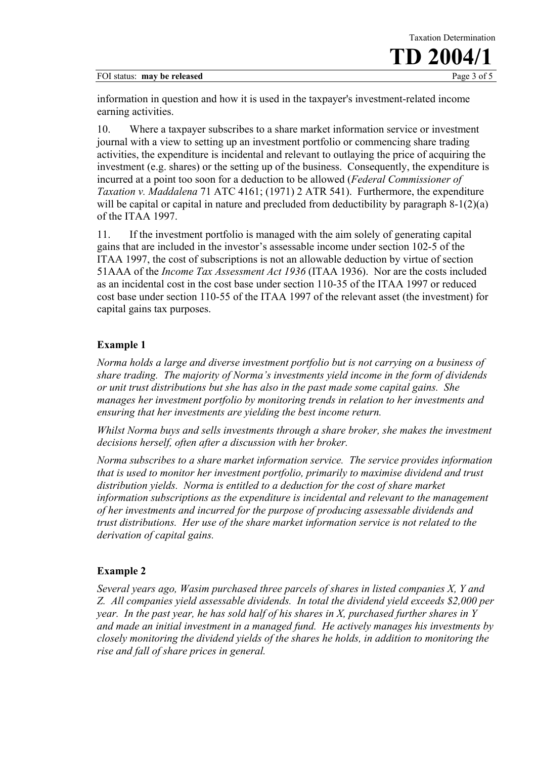

information in question and how it is used in the taxpayer's investment-related income earning activities.

10. Where a taxpayer subscribes to a share market information service or investment journal with a view to setting up an investment portfolio or commencing share trading activities, the expenditure is incidental and relevant to outlaying the price of acquiring the investment (e.g. shares) or the setting up of the business. Consequently, the expenditure is incurred at a point too soon for a deduction to be allowed (*Federal Commissioner of Taxation v. Maddalena* 71 ATC 4161; (1971) 2 ATR 541). Furthermore, the expenditure will be capital or capital in nature and precluded from deductibility by paragraph 8-1(2)(a) of the ITAA 1997.

11. If the investment portfolio is managed with the aim solely of generating capital gains that are included in the investor's assessable income under section 102-5 of the ITAA 1997, the cost of subscriptions is not an allowable deduction by virtue of section 51AAA of the *Income Tax Assessment Act 1936* (ITAA 1936). Nor are the costs included as an incidental cost in the cost base under section 110-35 of the ITAA 1997 or reduced cost base under section 110-55 of the ITAA 1997 of the relevant asset (the investment) for capital gains tax purposes.

# **Example 1**

*Norma holds a large and diverse investment portfolio but is not carrying on a business of share trading. The majority of Norma's investments yield income in the form of dividends or unit trust distributions but she has also in the past made some capital gains. She manages her investment portfolio by monitoring trends in relation to her investments and ensuring that her investments are yielding the best income return.* 

*Whilst Norma buys and sells investments through a share broker, she makes the investment decisions herself, often after a discussion with her broker.* 

*Norma subscribes to a share market information service. The service provides information that is used to monitor her investment portfolio, primarily to maximise dividend and trust distribution yields. Norma is entitled to a deduction for the cost of share market information subscriptions as the expenditure is incidental and relevant to the management of her investments and incurred for the purpose of producing assessable dividends and trust distributions. Her use of the share market information service is not related to the derivation of capital gains.* 

# **Example 2**

*Several years ago, Wasim purchased three parcels of shares in listed companies X, Y and Z. All companies yield assessable dividends. In total the dividend yield exceeds \$2,000 per year. In the past year, he has sold half of his shares in X, purchased further shares in Y and made an initial investment in a managed fund. He actively manages his investments by closely monitoring the dividend yields of the shares he holds, in addition to monitoring the rise and fall of share prices in general.*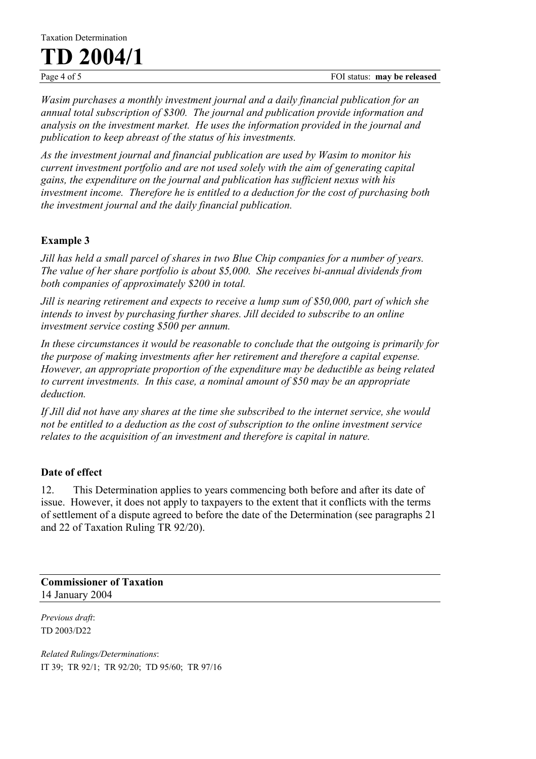**TD 2004/1**

*Wasim purchases a monthly investment journal and a daily financial publication for an annual total subscription of \$300. The journal and publication provide information and analysis on the investment market. He uses the information provided in the journal and publication to keep abreast of the status of his investments.* 

*As the investment journal and financial publication are used by Wasim to monitor his current investment portfolio and are not used solely with the aim of generating capital gains, the expenditure on the journal and publication has sufficient nexus with his investment income. Therefore he is entitled to a deduction for the cost of purchasing both the investment journal and the daily financial publication.* 

# **Example 3**

*Jill has held a small parcel of shares in two Blue Chip companies for a number of years. The value of her share portfolio is about \$5,000. She receives bi-annual dividends from both companies of approximately \$200 in total.* 

*Jill is nearing retirement and expects to receive a lump sum of \$50,000, part of which she intends to invest by purchasing further shares. Jill decided to subscribe to an online investment service costing \$500 per annum.* 

*In these circumstances it would be reasonable to conclude that the outgoing is primarily for the purpose of making investments after her retirement and therefore a capital expense. However, an appropriate proportion of the expenditure may be deductible as being related to current investments. In this case, a nominal amount of \$50 may be an appropriate deduction.* 

*If Jill did not have any shares at the time she subscribed to the internet service, she would not be entitled to a deduction as the cost of subscription to the online investment service relates to the acquisition of an investment and therefore is capital in nature.* 

# **Date of effect**

12. This Determination applies to years commencing both before and after its date of issue. However, it does not apply to taxpayers to the extent that it conflicts with the terms of settlement of a dispute agreed to before the date of the Determination (see paragraphs 21 and 22 of Taxation Ruling TR 92/20).

**Commissioner of Taxation** 14 January 2004

*Previous draft*: TD 2003/D22

*Related Rulings/Determinations*: IT 39; TR 92/1; TR 92/20; TD 95/60; TR 97/16